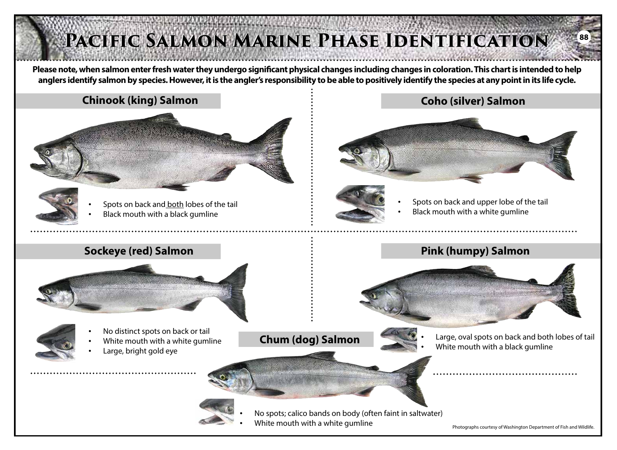## **Please note, when salmon enter fresh water they undergo significant physical changes including changes in coloration. This chart is intended to help anglers identify salmon by species. However, it is the angler's responsibility to be able to positively identify the species at any point in its life cycle. Chinook (king) Salmon** • Spots on back and both lobes of the tail • Black mouth with a black gumline **Coho (silver) Salmon** Spots on back and upper lobe of the tail • Black mouth with a white gumline **Sockeye (red) Salmon** • No distinct spots on back or tail White mouth with a white gumline Large, bright gold eye **Pink (humpy) Salmon** • Large, oval spots on back and both lobes of tail **Chum (dog) Salmon**<br>**Chum (dog) Salmon**<br>**White mouth with a black gumline** PACIFIC SALMON MARINE PHASE IDENTIFICATION **88**



• No spots; calico bands on body (often faint in saltwater)

• White mouth with a white gumline

Photographs courtesy of Washington Department of Fish and Wildlife.